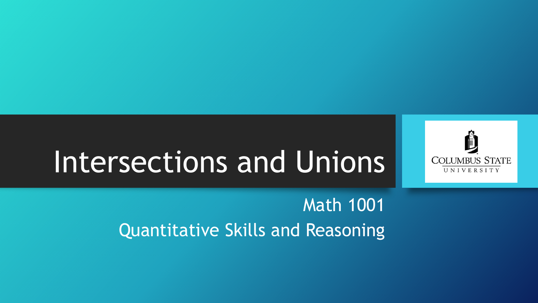

# Intersections and Unions

#### Math 1001 Quantitative Skills and Reasoning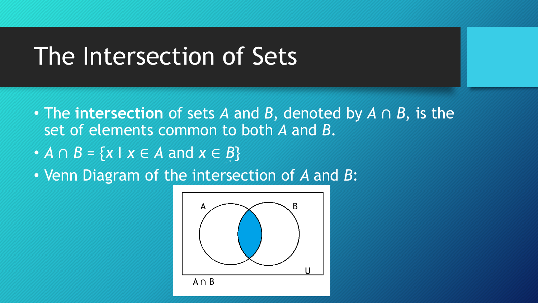### The Intersection of Sets

- The **intersection** of sets *A* and *B*, denoted by *A* ∩ *B*, is the set of elements common to both *A* and *B*.
- $\bullet$  *A*  $\cap$  *B* = {*x* | *x*  $\in$  *A* and *x*  $\in$  *B*}
- Venn Diagram of the intersection of *A* and *B*:

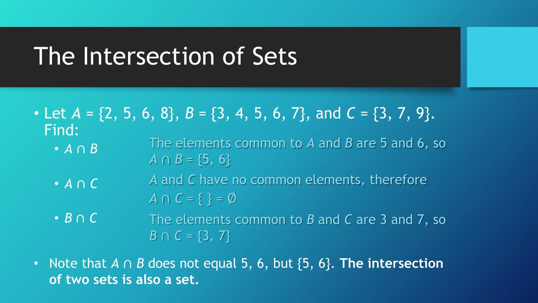### The Intersection of Sets

- Let  $A = \{2, 5, 6, 8\}, B = \{3, 4, 5, 6, 7\}, \text{ and } C = \{3, 7, 9\}.$ Find:
	- *A* ∩ *B* The elements common to *A* and *B* are 5 and 6, so  $A \cap B = \{5, 6\}$
	- *A* ∩ *C A* and *C* have no common elements, therefore *A* ∩ *C =* { } = ∅
	- *B* ∩ *C* The elements common to *B* and *C* are 3 and 7, so *B*  $\cap$  *C* = {3, 7}
- Note that *A* ∩ *B* does not equal 5, 6, but {5, 6}. **The intersection of two sets is also a set.**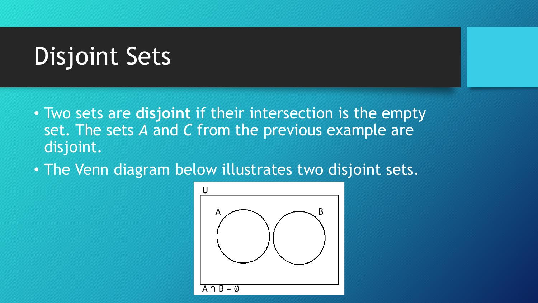## Disjoint Sets

- Two sets are **disjoint** if their intersection is the empty set. The sets *A* and *C* from the previous example are disjoint.
- The Venn diagram below illustrates two disjoint sets.

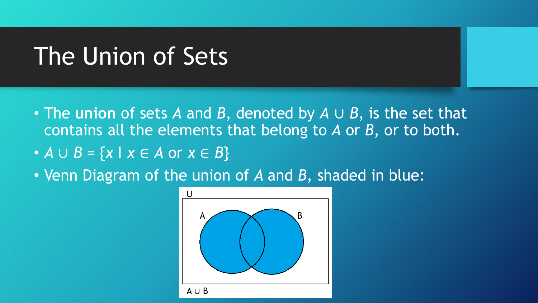### The Union of Sets

- The **union** of sets *A* and *B*, denoted by *A* ∪ *B*, is the set that contains all the elements that belong to *A* or *B*, or to both.
- *A* ∪ *B =* {*x* I *x* ∈ *A* or *x* ∈ *B*}
- Venn Diagram of the union of *A* and *B,* shaded in blue:

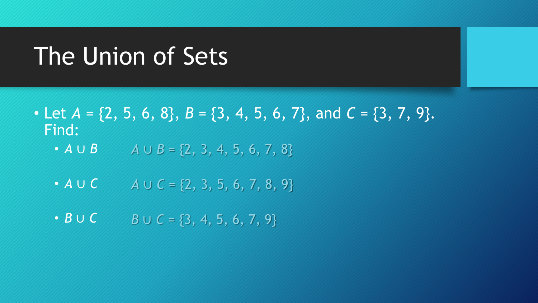### The Union of Sets

- Let  $A = \{2, 5, 6, 8\}, B = \{3, 4, 5, 6, 7\}, \text{ and } C = \{3, 7, 9\}.$ Find:
	- *A* ∪ *B*  $A \cup B = \{2, 3, 4, 5, 6, 7, 8\}$
	- *A* ∪ *C A* ∪ *C =* {2, 3, 5, 6, 7, 8, 9}
	- *B* ∪ *C B* ∪ *C* = {3, 4, 5, 6, 7, 9}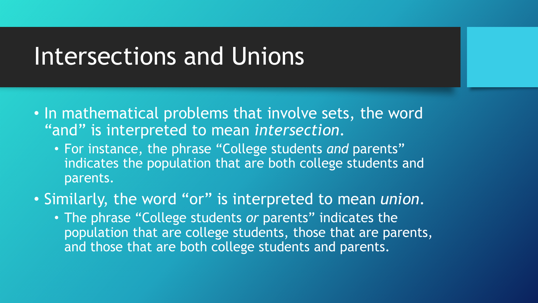### Intersections and Unions

- In mathematical problems that involve sets, the word "and" is interpreted to mean *intersection*.
	- For instance, the phrase "College students *and* parents" indicates the population that are both college students and parents.
- Similarly, the word "or" is interpreted to mean *union*.
	- The phrase "College students *or* parents" indicates the population that are college students, those that are parents, and those that are both college students and parents.